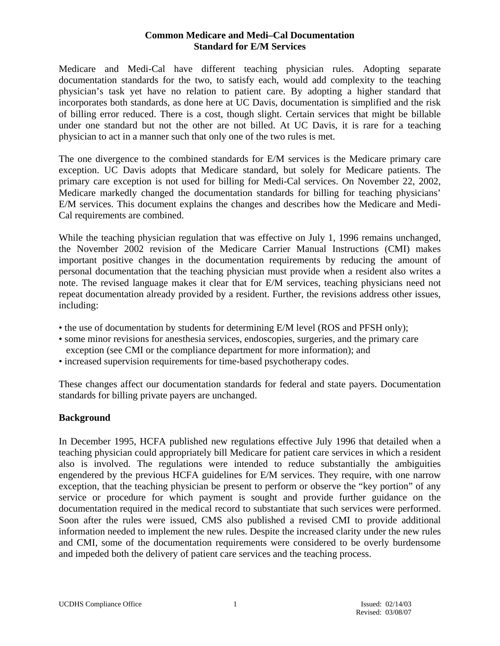Medicare and Medi-Cal have different teaching physician rules. Adopting separate documentation standards for the two, to satisfy each, would add complexity to the teaching physician's task yet have no relation to patient care. By adopting a higher standard that incorporates both standards, as done here at UC Davis, documentation is simplified and the risk of billing error reduced. There is a cost, though slight. Certain services that might be billable under one standard but not the other are not billed. At UC Davis, it is rare for a teaching physician to act in a manner such that only one of the two rules is met.

The one divergence to the combined standards for E/M services is the Medicare primary care exception. UC Davis adopts that Medicare standard, but solely for Medicare patients. The primary care exception is not used for billing for Medi-Cal services. On November 22, 2002, Medicare markedly changed the documentation standards for billing for teaching physicians' E/M services. This document explains the changes and describes how the Medicare and Medi-Cal requirements are combined.

While the teaching physician regulation that was effective on July 1, 1996 remains unchanged, the November 2002 revision of the Medicare Carrier Manual Instructions (CMI) makes important positive changes in the documentation requirements by reducing the amount of personal documentation that the teaching physician must provide when a resident also writes a note. The revised language makes it clear that for E/M services, teaching physicians need not repeat documentation already provided by a resident. Further, the revisions address other issues, including:

- the use of documentation by students for determining E/M level (ROS and PFSH only);
- some minor revisions for anesthesia services, endoscopies, surgeries, and the primary care exception (see CMI or the compliance department for more information); and
- increased supervision requirements for time-based psychotherapy codes.

These changes affect our documentation standards for federal and state payers. Documentation standards for billing private payers are unchanged.

# **Background**

In December 1995, HCFA published new regulations effective July 1996 that detailed when a teaching physician could appropriately bill Medicare for patient care services in which a resident also is involved. The regulations were intended to reduce substantially the ambiguities engendered by the previous HCFA guidelines for E/M services. They require, with one narrow exception, that the teaching physician be present to perform or observe the "key portion" of any service or procedure for which payment is sought and provide further guidance on the documentation required in the medical record to substantiate that such services were performed. Soon after the rules were issued, CMS also published a revised CMI to provide additional information needed to implement the new rules. Despite the increased clarity under the new rules and CMI, some of the documentation requirements were considered to be overly burdensome and impeded both the delivery of patient care services and the teaching process.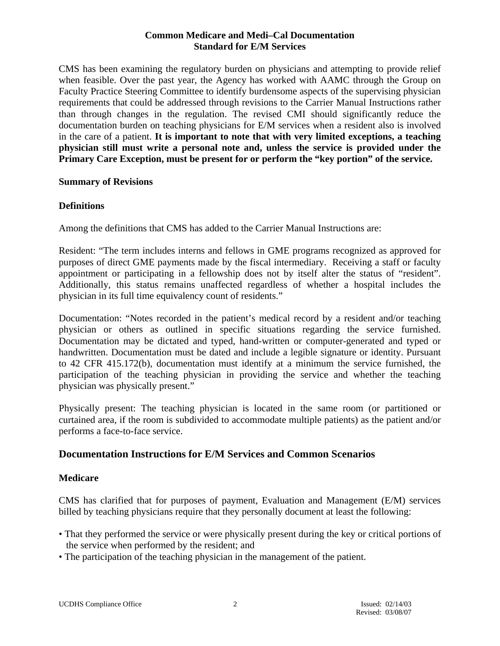CMS has been examining the regulatory burden on physicians and attempting to provide relief when feasible. Over the past year, the Agency has worked with AAMC through the Group on Faculty Practice Steering Committee to identify burdensome aspects of the supervising physician requirements that could be addressed through revisions to the Carrier Manual Instructions rather than through changes in the regulation. The revised CMI should significantly reduce the documentation burden on teaching physicians for E/M services when a resident also is involved in the care of a patient. **It is important to note that with very limited exceptions, a teaching physician still must write a personal note and, unless the service is provided under the Primary Care Exception, must be present for or perform the "key portion" of the service.** 

## **Summary of Revisions**

## **Definitions**

Among the definitions that CMS has added to the Carrier Manual Instructions are:

Resident: "The term includes interns and fellows in GME programs recognized as approved for purposes of direct GME payments made by the fiscal intermediary. Receiving a staff or faculty appointment or participating in a fellowship does not by itself alter the status of "resident". Additionally, this status remains unaffected regardless of whether a hospital includes the physician in its full time equivalency count of residents."

Documentation: "Notes recorded in the patient's medical record by a resident and/or teaching physician or others as outlined in specific situations regarding the service furnished. Documentation may be dictated and typed, hand-written or computer-generated and typed or handwritten. Documentation must be dated and include a legible signature or identity. Pursuant to 42 CFR 415.172(b), documentation must identify at a minimum the service furnished, the participation of the teaching physician in providing the service and whether the teaching physician was physically present."

Physically present: The teaching physician is located in the same room (or partitioned or curtained area, if the room is subdivided to accommodate multiple patients) as the patient and/or performs a face-to-face service.

# **Documentation Instructions for E/M Services and Common Scenarios**

## **Medicare**

CMS has clarified that for purposes of payment, Evaluation and Management (E/M) services billed by teaching physicians require that they personally document at least the following:

- That they performed the service or were physically present during the key or critical portions of the service when performed by the resident; and
- The participation of the teaching physician in the management of the patient.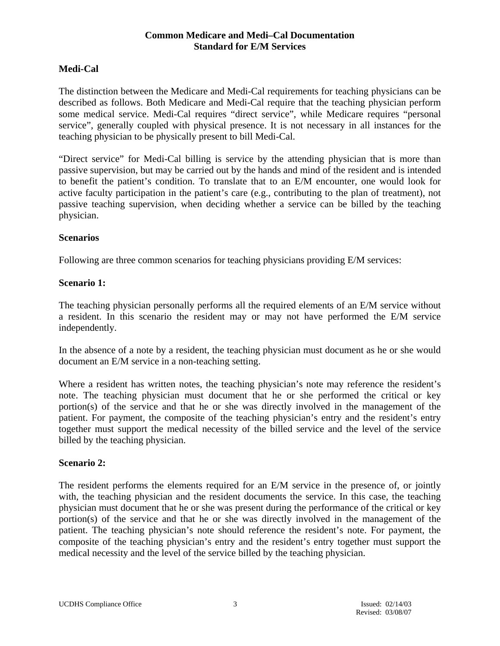# **Medi-Cal**

The distinction between the Medicare and Medi-Cal requirements for teaching physicians can be described as follows. Both Medicare and Medi-Cal require that the teaching physician perform some medical service. Medi-Cal requires "direct service", while Medicare requires "personal service", generally coupled with physical presence. It is not necessary in all instances for the teaching physician to be physically present to bill Medi-Cal.

"Direct service" for Medi-Cal billing is service by the attending physician that is more than passive supervision, but may be carried out by the hands and mind of the resident and is intended to benefit the patient's condition. To translate that to an E/M encounter, one would look for active faculty participation in the patient's care (e.g., contributing to the plan of treatment), not passive teaching supervision, when deciding whether a service can be billed by the teaching physician.

## **Scenarios**

Following are three common scenarios for teaching physicians providing E/M services:

## **Scenario 1:**

The teaching physician personally performs all the required elements of an E/M service without a resident. In this scenario the resident may or may not have performed the E/M service independently.

In the absence of a note by a resident, the teaching physician must document as he or she would document an E/M service in a non-teaching setting.

Where a resident has written notes, the teaching physician's note may reference the resident's note. The teaching physician must document that he or she performed the critical or key portion(s) of the service and that he or she was directly involved in the management of the patient. For payment, the composite of the teaching physician's entry and the resident's entry together must support the medical necessity of the billed service and the level of the service billed by the teaching physician.

## **Scenario 2:**

The resident performs the elements required for an E/M service in the presence of, or jointly with, the teaching physician and the resident documents the service. In this case, the teaching physician must document that he or she was present during the performance of the critical or key portion(s) of the service and that he or she was directly involved in the management of the patient. The teaching physician's note should reference the resident's note. For payment, the composite of the teaching physician's entry and the resident's entry together must support the medical necessity and the level of the service billed by the teaching physician.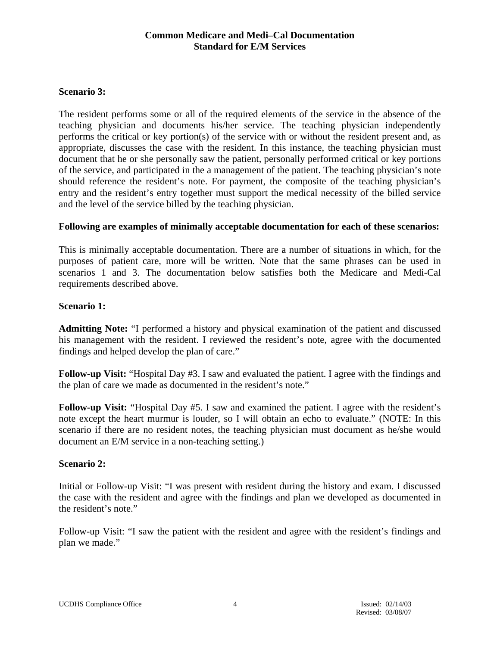## **Scenario 3:**

The resident performs some or all of the required elements of the service in the absence of the teaching physician and documents his/her service. The teaching physician independently performs the critical or key portion(s) of the service with or without the resident present and, as appropriate, discusses the case with the resident. In this instance, the teaching physician must document that he or she personally saw the patient, personally performed critical or key portions of the service, and participated in the a management of the patient. The teaching physician's note should reference the resident's note. For payment, the composite of the teaching physician's entry and the resident's entry together must support the medical necessity of the billed service and the level of the service billed by the teaching physician.

## **Following are examples of minimally acceptable documentation for each of these scenarios:**

This is minimally acceptable documentation. There are a number of situations in which, for the purposes of patient care, more will be written. Note that the same phrases can be used in scenarios 1 and 3. The documentation below satisfies both the Medicare and Medi-Cal requirements described above.

## **Scenario 1:**

**Admitting Note:** "I performed a history and physical examination of the patient and discussed his management with the resident. I reviewed the resident's note, agree with the documented findings and helped develop the plan of care."

**Follow-up Visit:** "Hospital Day #3. I saw and evaluated the patient. I agree with the findings and the plan of care we made as documented in the resident's note."

**Follow-up Visit:** "Hospital Day #5. I saw and examined the patient. I agree with the resident's note except the heart murmur is louder, so I will obtain an echo to evaluate." (NOTE: In this scenario if there are no resident notes, the teaching physician must document as he/she would document an E/M service in a non-teaching setting.)

## **Scenario 2:**

Initial or Follow-up Visit: "I was present with resident during the history and exam. I discussed the case with the resident and agree with the findings and plan we developed as documented in the resident's note."

Follow-up Visit: "I saw the patient with the resident and agree with the resident's findings and plan we made."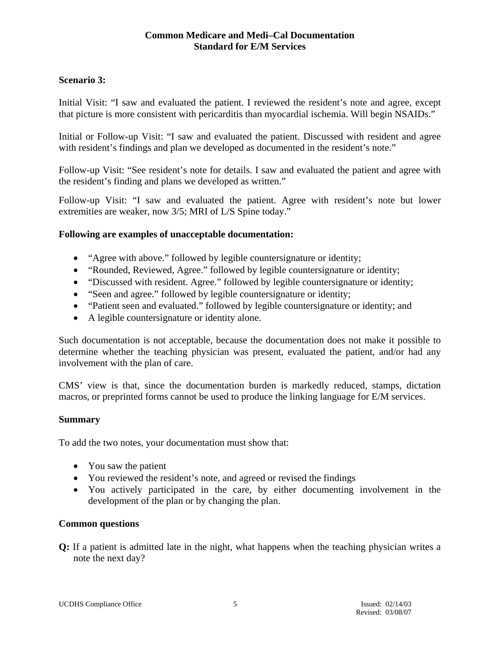## **Scenario 3:**

Initial Visit: "I saw and evaluated the patient. I reviewed the resident's note and agree, except that picture is more consistent with pericarditis than myocardial ischemia. Will begin NSAIDs."

Initial or Follow-up Visit: "I saw and evaluated the patient. Discussed with resident and agree with resident's findings and plan we developed as documented in the resident's note."

Follow-up Visit: "See resident's note for details. I saw and evaluated the patient and agree with the resident's finding and plans we developed as written."

Follow-up Visit: "I saw and evaluated the patient. Agree with resident's note but lower extremities are weaker, now 3/5; MRI of L/S Spine today."

## **Following are examples of unacceptable documentation:**

- "Agree with above." followed by legible countersignature or identity;
- "Rounded, Reviewed, Agree." followed by legible countersignature or identity;
- "Discussed with resident. Agree." followed by legible countersignature or identity;
- "Seen and agree." followed by legible countersignature or identity;
- "Patient seen and evaluated." followed by legible countersignature or identity; and
- A legible countersignature or identity alone.

Such documentation is not acceptable, because the documentation does not make it possible to determine whether the teaching physician was present, evaluated the patient, and/or had any involvement with the plan of care.

CMS' view is that, since the documentation burden is markedly reduced, stamps, dictation macros, or preprinted forms cannot be used to produce the linking language for E/M services.

## **Summary**

To add the two notes, your documentation must show that:

- You saw the patient
- You reviewed the resident's note, and agreed or revised the findings
- You actively participated in the care, by either documenting involvement in the development of the plan or by changing the plan.

## **Common questions**

**Q:** If a patient is admitted late in the night, what happens when the teaching physician writes a note the next day?